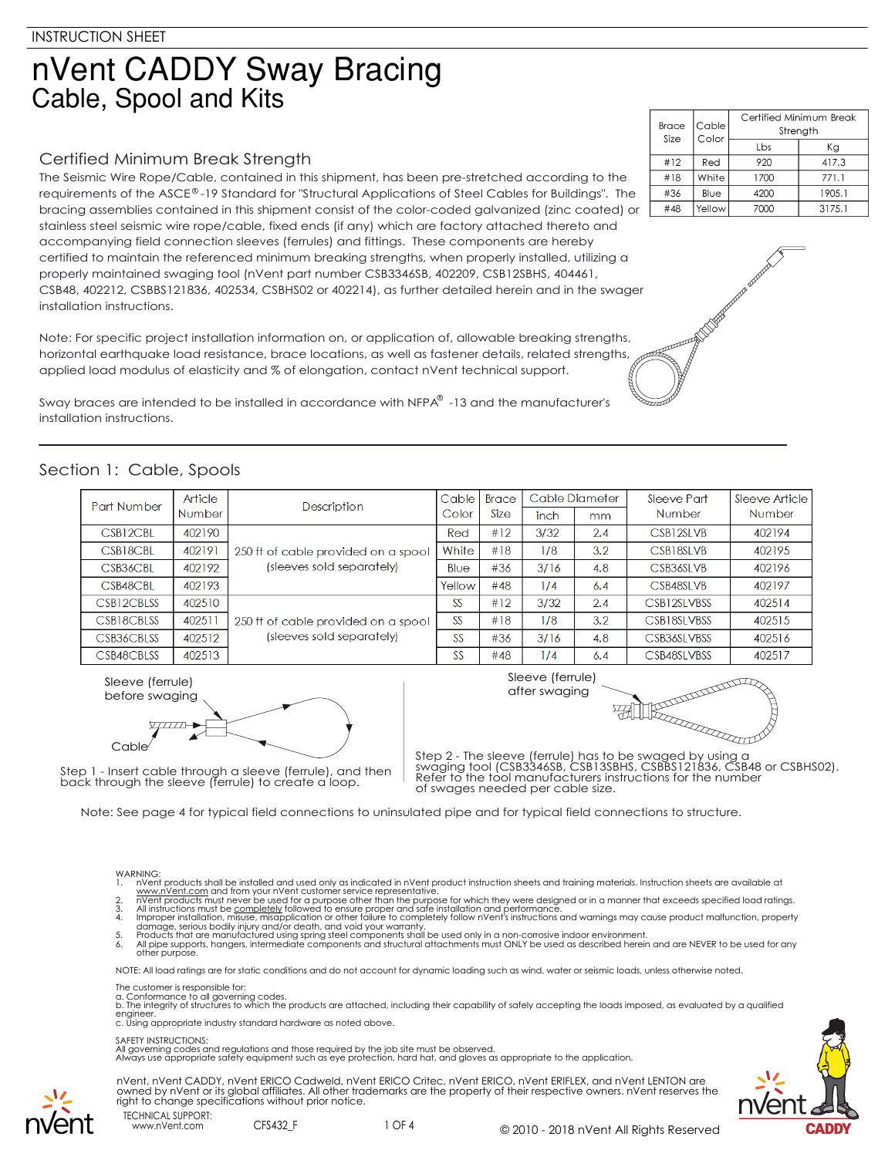# nVent CADDY Sway Bracing Cable, Spool and Kits

# Certified Minimum Break Strength

The Seismic Wire Rope/Cable, contained in this shipment, has been pre-stretched according to the requirements of the ASCE®-19 Standard for "Structural Applications of Steel Cables for Buildings". The bracing assemblies contained in this shipment consist of the color-coded galvanized (zinc coated) or stainless steel seismic wire rope/cable, fixed ends (if any) which are factory attached thereto and accompanying field connection sleeves (ferrules) and fittings. These components are hereby certified to maintain the referenced minimum breaking strengths, when properly installed, utilizing a properly maintained swaging tool (nVent part number CSB3346SB, 402209, CSB12SBHS, 404461, CSB48, 402212, CSBBS121836, 402534, CSBHS02 or 402214), as further detailed herein and in the swager installation instructions.

Note: For specific project installation information on, or application of, allowable breaking strengths, horizontal earthquake load resistance, brace locations, as well as fastener details, related strengths, applied load modulus of elasticity and % of elongation, contact nVent technical support.

Sway braces are intended to be installed in accordance with NFPA® -13 and the manufacturer's installation instructions.

# Section 1: Cable, Spools

| Part Number | Article<br><b>Number</b> | <b>Description</b>                                               | Cable | <b>Brace</b> | Cable Diameter |     | Sleeve Part   | Sleeve Article |  |
|-------------|--------------------------|------------------------------------------------------------------|-------|--------------|----------------|-----|---------------|----------------|--|
|             |                          |                                                                  | Color | Size         | inch           | mm  | <b>Number</b> | <b>Number</b>  |  |
| CSB12CBL    | 402190                   |                                                                  | Red   | #12          | 3/32           | 2.4 | CSB12SLVB     | 402194         |  |
| CSB18CBL    | 402191                   | 250 ft of cable provided on a spool<br>(sleeves sold separately) | White | #18          | 1/8            | 3.2 | CSB18SLVB     | 402195         |  |
| CSB36CBL    | 402192                   |                                                                  | Blue  | #36          | 3/16           | 4.8 | CSB36SLVB     | 402196         |  |
| CSB48CBL    | 402193                   |                                                                  |       | #48          | 1/4            | 6.4 | CSB48SLVB     | 402197         |  |
| CSB12CBLSS  | 402510                   |                                                                  | SS    | #12          | 3/32           | 2.4 | CSB12SLVBSS   | 402514         |  |
| CSB18CBLSS  | 402511                   | 250 ft of cable provided on a spool                              |       | #18          | 1/8            | 3.2 | CSB18SLVBSS   | 402515         |  |
| CSB36CBLSS  | 402512                   | (sleeves sold separately)                                        | SS    | #36          | 3/16           | 4.8 | CSB36SI VBSS  | 402516         |  |
| CSB48CBLSS  | 402513                   |                                                                  | SS    | #48          | 1/4            | 6.4 | CSB48SLVBSS   | 402517         |  |



Step 1 - Insert cable through a sleeve (ferrule), and then back through the sleeve (ferrule) to create a loop.

Sleeve (ferrule)



Step 2 - The sleeve (ferrule) has to be swaged by using a swaging tool (CSB3346SB, CSB13SBHS, CSBBS121836, CSB48 or CSBHS02). Refer to the tool manufacturers instructions for the number of swages needed per cable size.

Note: See page 4 for typical field connections to uninsulated pipe and for typical field connections to structure.

#### WARNING:

- 1. nVent products shall be installed and used only as indicated in nVent product instruction sheets and training materials. Instruction sheets are available at
- www.nVe<u>nt.com</u> and from your nVent customer service representative.<br>2. nVent products must never be used for a purpose other than the purpose for which they were designed or in a manner that exceeds specified load rat
- 
- damage, serious bodily injury and/or death, and void your warranty.<br>5. Products that are manufactured using spring steel components shall be used only in a non-corrosive indoor environment.<br>6. All pipe supports, hang

NOTE: All load ratings are for static conditions and do not account for dynamic loading such as wind, water or seismic loads, unless otherwise noted.

The customer is responsible for:

www.nVent.com CFS432\_F

a. Conformance to all governing codes.<br>b. The integrity of structures to which the products are attached, including their capability of safely accepting the loads imposed, as evaluated by a qualified engineer. c. Using appropriate industry standard hardware as noted above.

#### SAFETY INSTRUCTIONS:

All governing codes and regulations and those required by the job site must be observed. Always use appropriate safety equipment such as eye protection, hard hat, and gloves as appropriate to the application.





| <b>Brace</b><br>Size | Cable<br>Color | Certified Minimum Break<br>Strength |        |  |  |  |
|----------------------|----------------|-------------------------------------|--------|--|--|--|
|                      |                | I bs                                | Кg     |  |  |  |
| #12                  | Red            | 920                                 | 417.3  |  |  |  |
| #18                  | White          | 1700                                | 771.1  |  |  |  |
| #36                  | Blue           | 4200                                | 1905.1 |  |  |  |
| #48                  | Yellow         | 7000                                | 3175.1 |  |  |  |





1 OF 4 © 2010 - 2018 nVent All Rights Reserved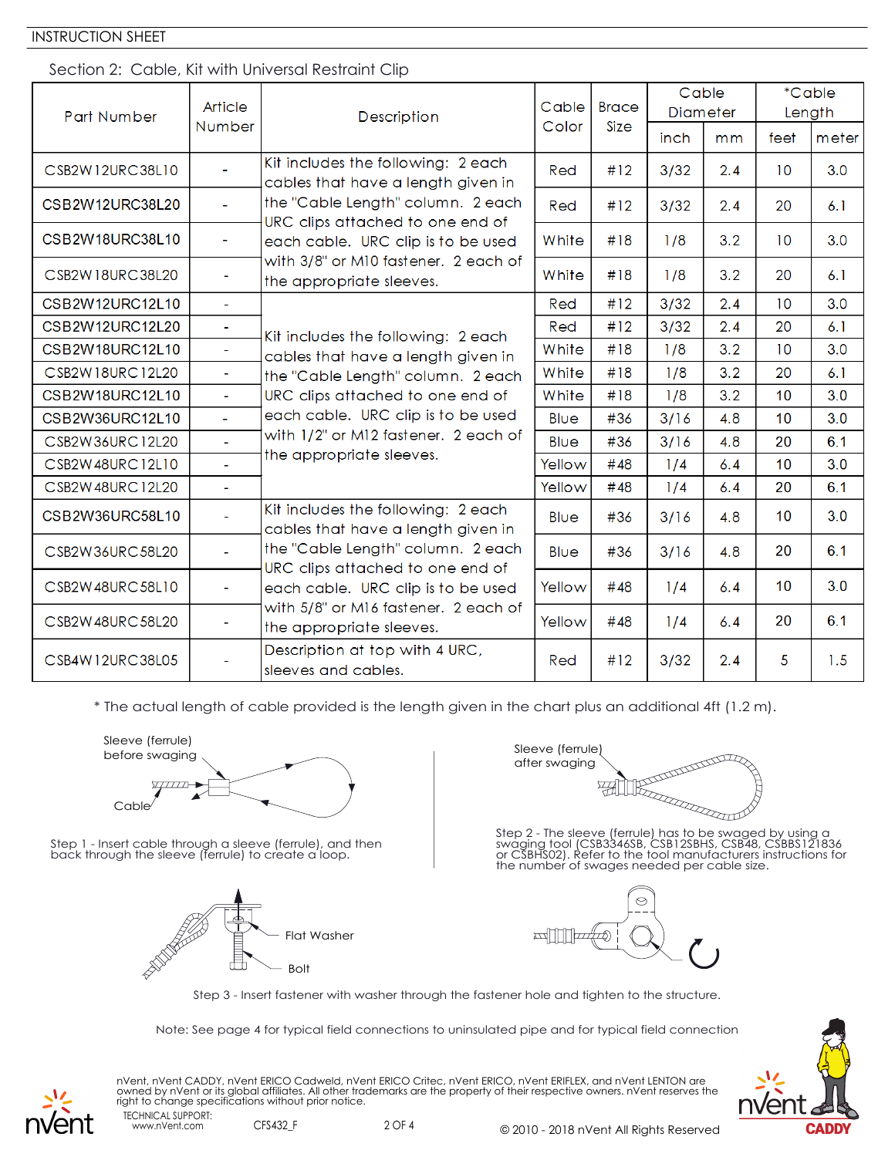### INSTRUCTION SHEET

### Section 2: Cable, Kit with Universal Restraint Clip

| Part Number     | Article<br><b>Number</b>    | Description                                                                                                                                                                                                                                                                                                          | Cable  | <b>Brace</b> | Cable<br><b>Diameter</b> |     | *Cable<br>Length |       |
|-----------------|-----------------------------|----------------------------------------------------------------------------------------------------------------------------------------------------------------------------------------------------------------------------------------------------------------------------------------------------------------------|--------|--------------|--------------------------|-----|------------------|-------|
|                 |                             | Color                                                                                                                                                                                                                                                                                                                |        | <b>Size</b>  | inch                     | mm  | feet             | meter |
| CSB2W12URC38L10 | $\mathbb{Z}^2$              | Kit includes the following: 2 each<br>cables that have a length given in<br>the "Cable Length" column. 2 each<br>URC clips attached to one end of<br>each cable. URC clip is to be used<br>with 3/8" or M10 fastener. 2 each of<br>the appropriate sleeves.                                                          | Red    | #12          | 3/32                     | 2.4 | 10 <sup>°</sup>  | 3.0   |
| CSB2W12URC38L20 | $\blacksquare$              |                                                                                                                                                                                                                                                                                                                      | Red    | #12          | 3/32                     | 2.4 | 20               | 6.1   |
| CSB2W18URC38L10 | $\blacksquare$              |                                                                                                                                                                                                                                                                                                                      | White  | #18          | 1/8                      | 3.2 | 10 <sup>°</sup>  | 3.0   |
| CSB2W18URC38L20 | $\overline{\phantom{a}}$    |                                                                                                                                                                                                                                                                                                                      | White  | #18          | 1/8                      | 3.2 | 20               | 6.1   |
| CSB2W12URC12L10 | $\blacksquare$              |                                                                                                                                                                                                                                                                                                                      | Red    | #12          | 3/32                     | 2.4 | 10               | 3.0   |
| CSB2W12URC12L20 | $\Box$                      | Kit includes the following: 2 each                                                                                                                                                                                                                                                                                   | Red    | #12          | 3/32                     | 2.4 | 20               | 6.1   |
| CSB2W18URC12L10 | ÷                           | cables that have a length given in                                                                                                                                                                                                                                                                                   | White  | #18          | 1/8                      | 3.2 | 10               | 3.0   |
| CSB2W18URC12L20 | $\blacksquare$              | the "Cable Length" column. 2 each<br>URC clips attached to one end of<br>each cable. URC clip is to be used<br>with 1/2" or M12 fastener. 2 each of<br>the appropriate sleeves.                                                                                                                                      | White  | #18          | 1/8                      | 3.2 | 20               | 6.1   |
| CSB2W18URC12L10 | L.                          |                                                                                                                                                                                                                                                                                                                      | White  | #18          | 1/8                      | 3.2 | 10               | 3.0   |
| CSB2W36URC12L10 | L,                          |                                                                                                                                                                                                                                                                                                                      | Blue   | #36          | 3/16                     | 4.8 | 10               | 3.0   |
| CSB2W36URC12L20 | L,                          |                                                                                                                                                                                                                                                                                                                      | Blue   | #36          | 3/16                     | 4.8 | 20               | 6.1   |
| CSB2W48URC12L10 | $\bar{\phantom{a}}$         |                                                                                                                                                                                                                                                                                                                      | Yellow | #48          | 1/4                      | 6.4 | 10               | 3.0   |
| CSB2W48URC12L20 | $\mathcal{L}_{\mathcal{A}}$ |                                                                                                                                                                                                                                                                                                                      | Yellow | #48          | 1/4                      | 6.4 | 20               | 6.1   |
| CSB2W36URC58L10 | ä,                          | Kit includes the following: 2 each<br>cables that have a length given in<br>the "Cable Length" column. 2 each<br>URC clips attached to one end of<br>each cable. URC clip is to be used<br>with 5/8" or M16 fastener. 2 each of<br>the appropriate sleeves.<br>Description at top with 4 URC,<br>sleeves and cables. | Blue   | #36          | 3/16                     | 4.8 | 10               | 3.0   |
| CSB2W36URC58L20 | u.                          |                                                                                                                                                                                                                                                                                                                      | Blue   | #36          | 3/16                     | 4.8 | 20               | 6.1   |
| CSB2W48URC58L10 | $\overline{\phantom{a}}$    |                                                                                                                                                                                                                                                                                                                      | Yellow | #48          | 1/4                      | 6.4 | 10               | 3.0   |
| CSB2W48URC58L20 | $\blacksquare$              |                                                                                                                                                                                                                                                                                                                      | Yellow | #48          | 1/4                      | 6.4 | 20               | 6.1   |
| CSB4W12URC38L05 |                             |                                                                                                                                                                                                                                                                                                                      | Red    | #12          | 3/32                     | 2.4 | 5                | 1.5   |

\* The actual length of cable provided is the length given in the chart plus an additional 4ft (1.2 m).



Step 1 - Insert cable through a sleeve (ferrule), and then back through the sleeve (ferrule) to create a loop.



after swaging

Step 2 - The sleeve (ferrule) has to be swaged by using a swaging tool (CSB3346SB, CSB12SBHS, CSB48, CSBBS121836 or CSBHS02). Refer to the tool manufacturers instructions for the number of swages needed per cable size.



Step 3 - Insert fastener with washer through the fastener hole and tighten to the structure.

Note: See page 4 for typical field connections to uninsulated pipe and for typical field connection:



TECHNICAL SUPPORT: nVent, nVent CADDY, nVent ERICO Cadweld, nVent ERICO Critec, nVent ERICO, nVent ERIFLEX, and nVent LENTON are owned by nVent or its global affiliates. All other trademarks are the property of their respective owners. nVent reserves the right to change specifications without prior notice.

www.nVent.com CFS432\_F

2 OF 4 © 2010 - 2018 nVent All Rights Reserved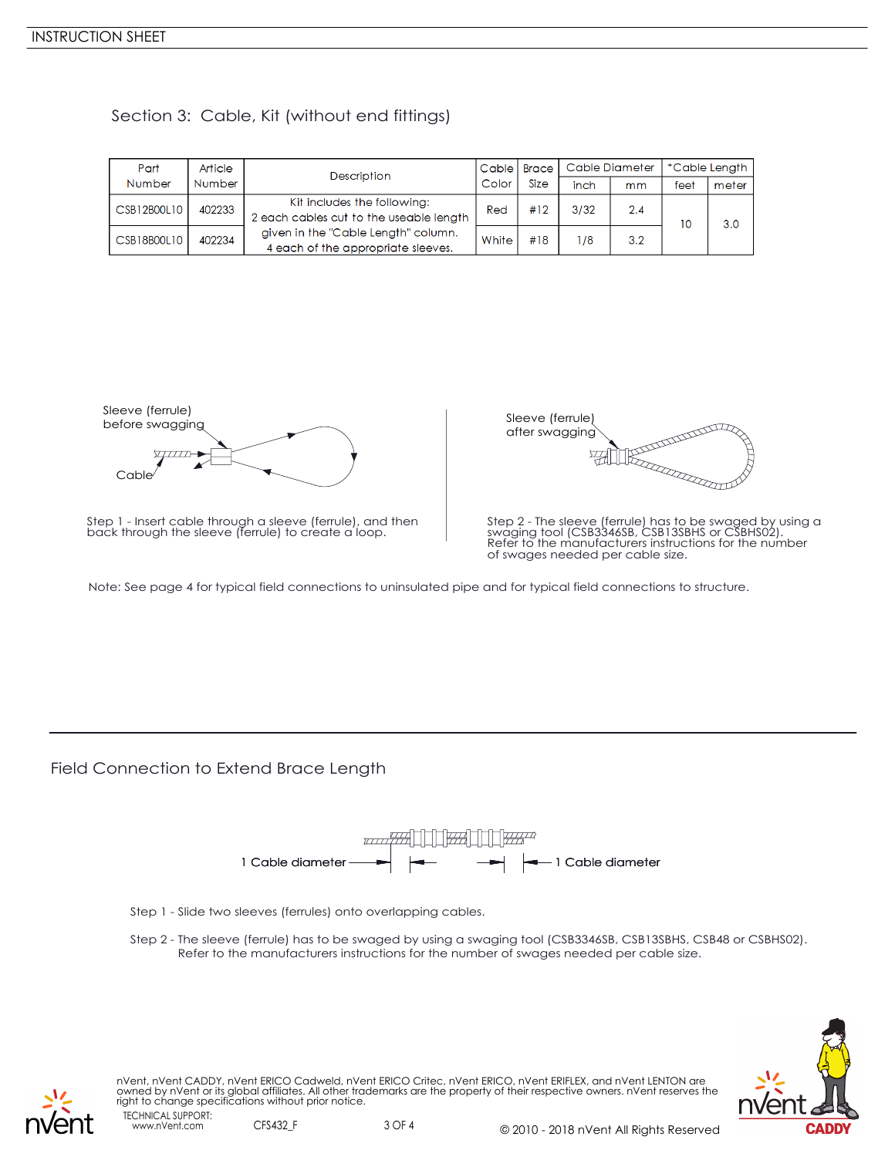| Part        | Article | Description                                                               | Cable  <br><b>Brace</b> |             | Cable Diameter |     | *Cable Length |       |
|-------------|---------|---------------------------------------------------------------------------|-------------------------|-------------|----------------|-----|---------------|-------|
| Number      | Number  |                                                                           | Color                   | <b>Size</b> | inch           | mm  | feet          | meter |
| CSB12B00L10 | 402233  | Kit includes the following:<br>2 each cables cut to the useable length    | Red                     | #12         | 3/32           | 2.4 |               | 3.0   |
| CSB18B00L10 | 402234  | given in the "Cable Length" column.<br>4 each of the appropriate sleeves. | White                   | #18         | 178            | 3.2 |               |       |

### Section 3: Cable, Kit (without end fittings)



Step 1 - Insert cable through a sleeve (ferrule), and then back through the sleeve (ferrule) to create a loop.



Step 2 - The sleeve (ferrule) has to be swaged by using a swaging tool (CSB3346SB, CSB13SBHS or CSBHS02). Refer to the manufacturers instructions for the number of swages needed per cable size.

Note: See page 4 for typical field connections to uninsulated pipe and for typical field connections to structure.

Field Connection to Extend Brace Length



- Step 1 Slide two sleeves (ferrules) onto overlapping cables.
- Step 2 The sleeve (ferrule) has to be swaged by using a swaging tool (CSB3346SB, CSB13SBHS, CSB48 or CSBHS02). Refer to the manufacturers instructions for the number of swages needed per cable size.



TECHNICAL SUPPORT: nVent, nVent CADDY, nVent ERICO Cadweld, nVent ERICO Critec, nVent ERICO, nVent ERIFLEX, and nVent LENTON are owned by nVent or its global affiliates. All other trademarks are the property of their respective owners. nVent reserves the right to change specifications without prior notice.